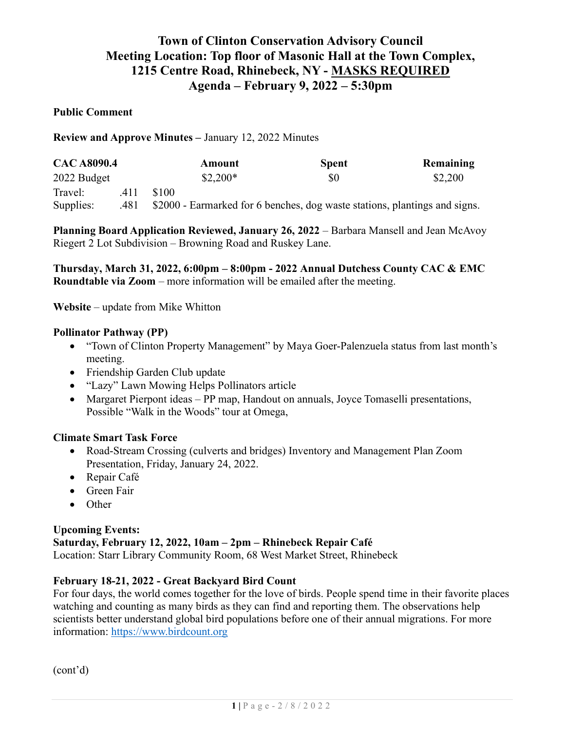# Town of Clinton Conservation Advisory Council Meeting Location: Top floor of Masonic Hall at the Town Complex, 1215 Centre Road, Rhinebeck, NY - MASKS REQUIRED Agenda – February 9, 2022 – 5:30pm

#### Public Comment

Review and Approve Minutes – January 12, 2022 Minutes

| <b>CAC A8090.4</b> |      | Amount                                                                     | <b>Spent</b> | Remaining |
|--------------------|------|----------------------------------------------------------------------------|--------------|-----------|
| 2022 Budget        |      | $$2,200*$                                                                  | \$0          | \$2,200   |
| Travel:            | .411 | \$100                                                                      |              |           |
| Supplies:          | .481 | \$2000 - Earmarked for 6 benches, dog waste stations, plantings and signs. |              |           |

Planning Board Application Reviewed, January 26, 2022 – Barbara Mansell and Jean McAvoy Riegert 2 Lot Subdivision – Browning Road and Ruskey Lane.

Thursday, March 31, 2022, 6:00pm – 8:00pm - 2022 Annual Dutchess County CAC & EMC Roundtable via Zoom – more information will be emailed after the meeting.

Website – update from Mike Whitton

#### Pollinator Pathway (PP)

- "Town of Clinton Property Management" by Maya Goer-Palenzuela status from last month's meeting.
- Friendship Garden Club update
- "Lazy" Lawn Mowing Helps Pollinators article
- Margaret Pierpont ideas PP map, Handout on annuals, Joyce Tomaselli presentations, Possible "Walk in the Woods" tour at Omega,

#### Climate Smart Task Force

- Road-Stream Crossing (culverts and bridges) Inventory and Management Plan Zoom Presentation, Friday, January 24, 2022.
- Repair Café
- Green Fair
- Other

#### Upcoming Events: Saturday, February 12, 2022, 10am – 2pm – Rhinebeck Repair Café Location: Starr Library Community Room, 68 West Market Street, Rhinebeck

#### February 18-21, 2022 - Great Backyard Bird Count

For four days, the world comes together for the love of birds. People spend time in their favorite places watching and counting as many birds as they can find and reporting them. The observations help scientists better understand global bird populations before one of their annual migrations. For more information: https://www.birdcount.org

(cont'd)